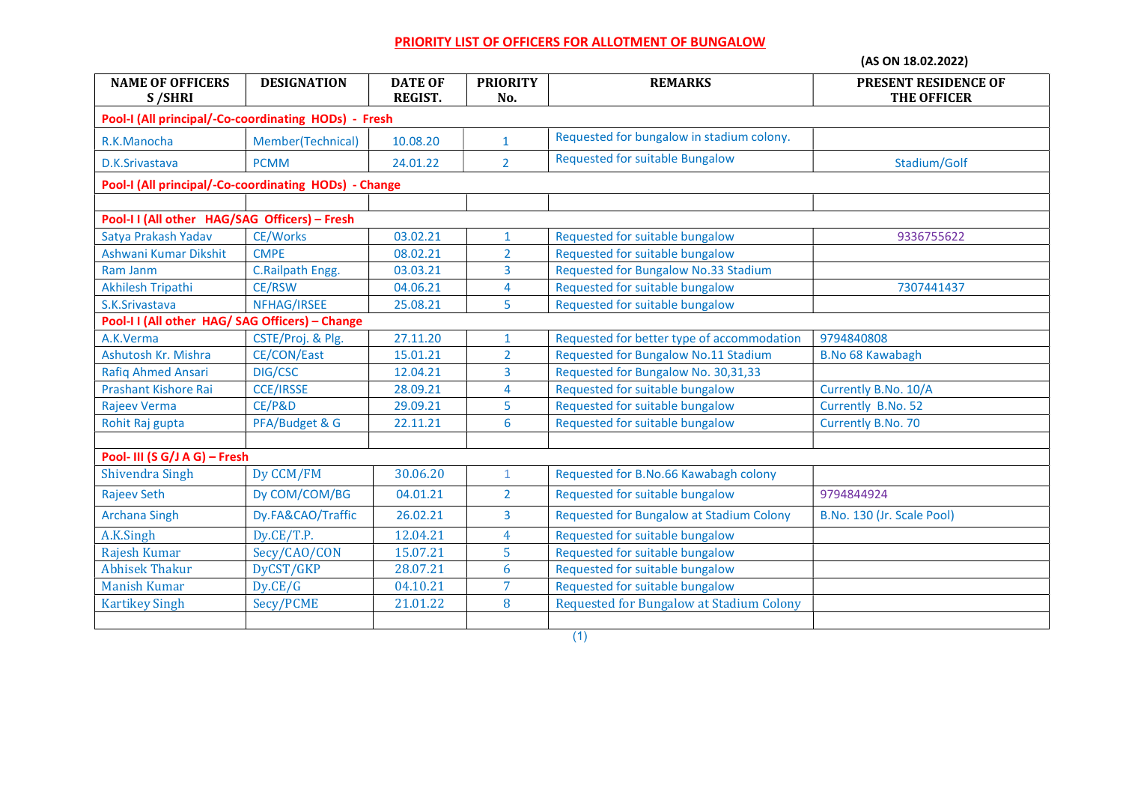## PRIORITY LIST OF OFFICERS FOR ALLOTMENT OF BUNGALOW

(AS ON 18.02.2022)

| <b>NAME OF OFFICERS</b><br>S/SHRI                     | <b>DESIGNATION</b> | <b>DATE OF</b><br><b>REGIST.</b> | <b>PRIORITY</b><br>No. | <b>REMARKS</b>                                  | PRESENT RESIDENCE OF<br><b>THE OFFICER</b> |  |  |  |
|-------------------------------------------------------|--------------------|----------------------------------|------------------------|-------------------------------------------------|--------------------------------------------|--|--|--|
| Pool-I (All principal/-Co-coordinating HODs) - Fresh  |                    |                                  |                        |                                                 |                                            |  |  |  |
| R.K.Manocha                                           | Member(Technical)  | 10.08.20                         | $\mathbf{1}$           | Requested for bungalow in stadium colony.       |                                            |  |  |  |
| D.K.Srivastava                                        | <b>PCMM</b>        | 24.01.22                         | $\overline{2}$         | Requested for suitable Bungalow                 | Stadium/Golf                               |  |  |  |
| Pool-I (All principal/-Co-coordinating HODs) - Change |                    |                                  |                        |                                                 |                                            |  |  |  |
|                                                       |                    |                                  |                        |                                                 |                                            |  |  |  |
| Pool-II (All other HAG/SAG Officers) - Fresh          |                    |                                  |                        |                                                 |                                            |  |  |  |
| Satya Prakash Yadav                                   | <b>CE/Works</b>    | 03.02.21                         | $\mathbf{1}$           | Requested for suitable bungalow                 | 9336755622                                 |  |  |  |
| Ashwani Kumar Dikshit                                 | <b>CMPE</b>        | 08.02.21                         | $\overline{2}$         | Requested for suitable bungalow                 |                                            |  |  |  |
| Ram Janm                                              | C.Railpath Engg.   | 03.03.21                         | 3                      | Requested for Bungalow No.33 Stadium            |                                            |  |  |  |
| Akhilesh Tripathi                                     | <b>CE/RSW</b>      | 04.06.21                         | 4                      | Requested for suitable bungalow                 | 7307441437                                 |  |  |  |
| S.K.Srivastava                                        | NFHAG/IRSEE        | 25.08.21                         | 5                      | Requested for suitable bungalow                 |                                            |  |  |  |
| Pool-II (All other HAG/SAG Officers) - Change         |                    |                                  |                        |                                                 |                                            |  |  |  |
| A.K.Verma                                             | CSTE/Proj. & Plg.  | 27.11.20                         | $\mathbf{1}$           | Requested for better type of accommodation      | 9794840808                                 |  |  |  |
| Ashutosh Kr. Mishra                                   | <b>CE/CON/East</b> | 15.01.21                         | $\overline{2}$         | Requested for Bungalow No.11 Stadium            | <b>B.No 68 Kawabagh</b>                    |  |  |  |
| <b>Rafiq Ahmed Ansari</b>                             | DIG/CSC            | 12.04.21                         | 3                      | Requested for Bungalow No. 30,31,33             |                                            |  |  |  |
| Prashant Kishore Rai                                  | <b>CCE/IRSSE</b>   | 28.09.21                         | 4                      | Requested for suitable bungalow                 | Currently B.No. 10/A                       |  |  |  |
| Rajeev Verma                                          | CE/P&D             | 29.09.21                         | 5                      | Requested for suitable bungalow                 | Currently B.No. 52                         |  |  |  |
| Rohit Raj gupta                                       | PFA/Budget & G     | 22.11.21                         | 6                      | Requested for suitable bungalow                 | Currently B.No. 70                         |  |  |  |
|                                                       |                    |                                  |                        |                                                 |                                            |  |  |  |
| Pool- III (S G/J A G) - Fresh                         |                    |                                  |                        |                                                 |                                            |  |  |  |
| Shivendra Singh                                       | Dy CCM/FM          | 30.06.20                         | $\mathbf{1}$           | Requested for B.No.66 Kawabagh colony           |                                            |  |  |  |
| <b>Rajeev Seth</b>                                    | Dy COM/COM/BG      | 04.01.21                         | $\overline{2}$         | Requested for suitable bungalow                 | 9794844924                                 |  |  |  |
| <b>Archana Singh</b>                                  | Dy.FA&CAO/Traffic  | 26.02.21                         | 3                      | Requested for Bungalow at Stadium Colony        | B.No. 130 (Jr. Scale Pool)                 |  |  |  |
| A.K.Singh                                             | Dy.CE/T.P.         | 12.04.21                         | $\overline{4}$         | Requested for suitable bungalow                 |                                            |  |  |  |
| Rajesh Kumar                                          | Secy/CAO/CON       | 15.07.21                         | 5                      | Requested for suitable bungalow                 |                                            |  |  |  |
| <b>Abhisek Thakur</b>                                 | DyCST/GKP          | 28.07.21                         | 6                      | Requested for suitable bungalow                 |                                            |  |  |  |
| <b>Manish Kumar</b>                                   | Dy.CE/G            | 04.10.21                         | $\overline{7}$         | Requested for suitable bungalow                 |                                            |  |  |  |
| <b>Kartikey Singh</b>                                 | Secy/PCME          | 21.01.22                         | 8                      | <b>Requested for Bungalow at Stadium Colony</b> |                                            |  |  |  |
|                                                       |                    |                                  |                        |                                                 |                                            |  |  |  |

(1)